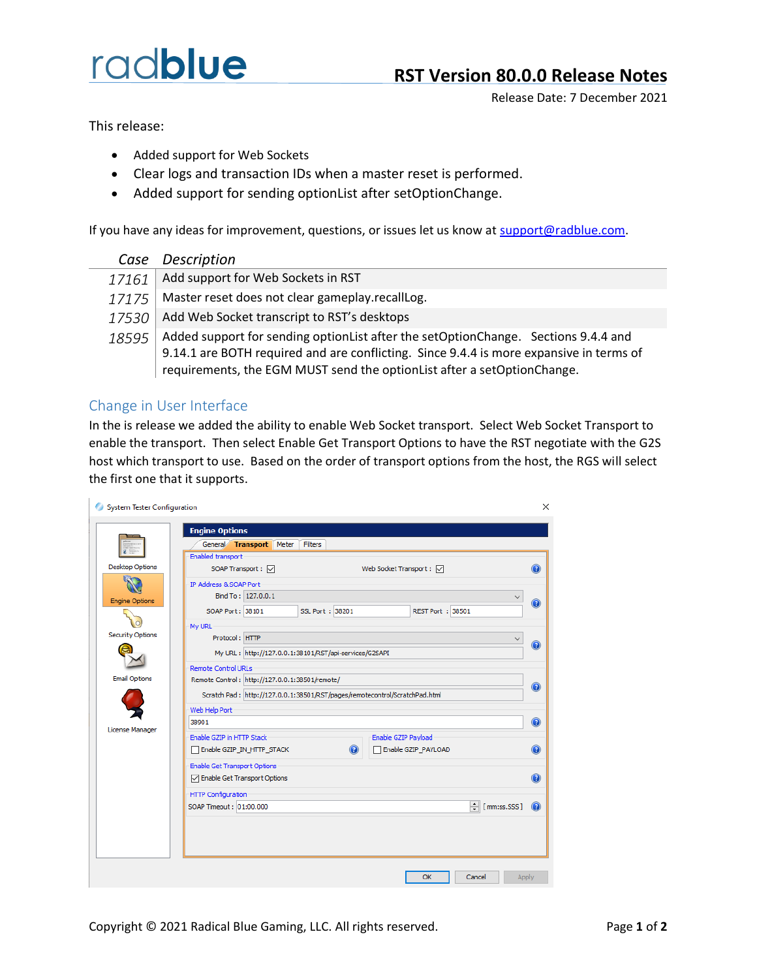## radblue

Release Date: 7 December 2021

This release:

- Added support for Web Sockets
- Clear logs and transaction IDs when a master reset is performed.
- Added support for sending optionList after setOptionChange.

If you have any ideas for improvement, questions, or issues let us know at [support@radblue.com.](mailto:support@radblue.com)

|       | Case Description                                                                                                                                                                                                                                            |
|-------|-------------------------------------------------------------------------------------------------------------------------------------------------------------------------------------------------------------------------------------------------------------|
| 17161 | Add support for Web Sockets in RST                                                                                                                                                                                                                          |
| 17175 | Master reset does not clear gameplay.recallLog.                                                                                                                                                                                                             |
| 17530 | Add Web Socket transcript to RST's desktops                                                                                                                                                                                                                 |
| 18595 | Added support for sending option List after the set Option Change. Sections 9.4.4 and<br>9.14.1 are BOTH required and are conflicting. Since 9.4.4 is more expansive in terms of<br>requirements, the EGM MUST send the optionList after a setOptionChange. |

## Change in User Interface

In the is release we added the ability to enable Web Socket transport. Select Web Socket Transport to enable the transport. Then select Enable Get Transport Options to have the RST negotiate with the G2S host which transport to use. Based on the order of transport options from the host, the RGS will select the first one that it supports.

|                         | <b>Engine Options</b><br>General Transport Meter                            | Filters           |                                 |                                      |  |
|-------------------------|-----------------------------------------------------------------------------|-------------------|---------------------------------|--------------------------------------|--|
|                         | Enabled transport                                                           |                   |                                 |                                      |  |
| <b>Desktop Options</b>  | SOAP Transport : √                                                          |                   | Web Socket Transport: $\boxdot$ | $\circledcirc$                       |  |
|                         | IP Address & SOAP Port                                                      |                   |                                 |                                      |  |
|                         | Bind To: 127.0.0.1                                                          |                   |                                 |                                      |  |
| <b>Engine Options</b>   | SOAP Port: 38101                                                            | SSL Port: 38201   | REST Port: 38501                | 0                                    |  |
|                         |                                                                             |                   |                                 |                                      |  |
| <b>Security Options</b> | My URL<br>Protocol: HTTP                                                    |                   |                                 |                                      |  |
|                         |                                                                             |                   |                                 | $\bullet$                            |  |
|                         | My URL: http://127.0.0.1:38101/RST/api-services/G2SAPI                      |                   |                                 |                                      |  |
|                         | <b>Remote Control URLs</b>                                                  |                   |                                 |                                      |  |
| <b>Email Options</b>    | Remote Control: http://127.0.0.1:38501/remote/                              |                   |                                 |                                      |  |
|                         | Scratch Pad: http://127.0.0.1:38501/RST/pages/remotecontrol/ScratchPad.html |                   |                                 | 0                                    |  |
|                         | Web Help Port                                                               |                   |                                 |                                      |  |
|                         | 38901                                                                       |                   |                                 | $\odot$                              |  |
| License Manager         | Enable GZIP in HTTP Stack                                                   |                   | Enable GZIP Payload             |                                      |  |
|                         | Enable GZIP_IN_HTTP_STACK                                                   | $\left( 2\right)$ | Enable GZIP_PAYLOAD             | $\bullet$                            |  |
|                         | <b>Enable Get Transport Options</b>                                         |                   |                                 |                                      |  |
|                         | □ Enable Get Transport Options                                              |                   |                                 | Q                                    |  |
|                         | <b>HTTP Configuration</b>                                                   |                   |                                 |                                      |  |
|                         | SOAP Timeout: 01:00.000                                                     |                   |                                 | $\frac{1}{r}$ [mm:ss.SSS]<br>$\circ$ |  |